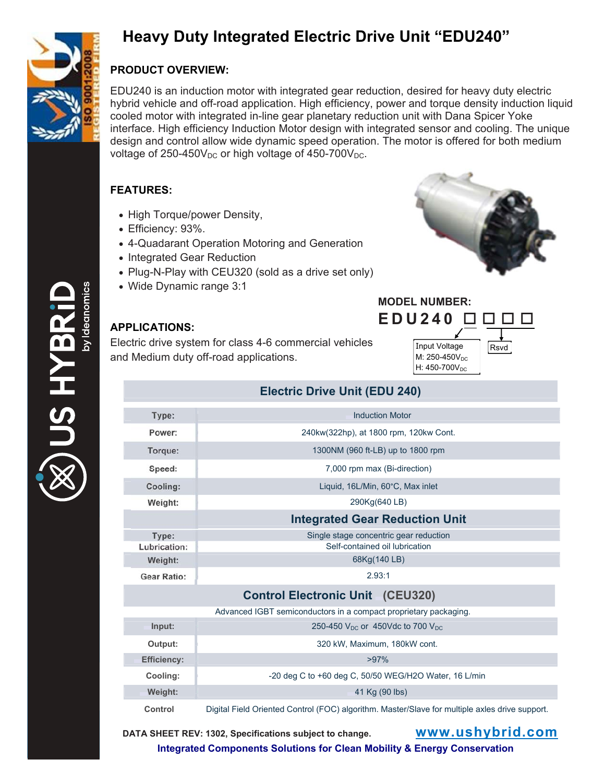

# **Heavy Duty Integrated Electric Drive Unit "EDU240"**

### **PRODUCT OVERVIEW:**

EDU240 is an induction motor with integrated gear reduction, desired for heavy duty electric hybrid vehicle and off-road application. High efficiency, power and torque density induction liquid cooled motor with integrated in-line gear planetary reduction unit with Dana Spicer Yoke interface. High efficiency Induction Motor design with integrated sensor and cooling. The unique design and control allow wide dynamic speed operation. The motor is offered for both medium voltage of  $250-450V_{DC}$  or high voltage of  $450-700V_{DC}$ .

### **FEATURES:**

- High Torque/power Density,
- Efficiency: 93%.
- 4-Quadarant Operation Motoring and Generation
- Integrated Gear Reduction
- Plug-N-Play with CEU320 (sold as a drive set only)
- Wide Dynamic range 3:1



#### **APPLICATIONS:**

Electric drive system for class 4-6 commercial vehicles and Medium duty off-road applications.



## **Electric Drive Unit (EDU 240)**

| Type:                                   | <b>Induction Motor</b>                                           |
|-----------------------------------------|------------------------------------------------------------------|
| Power:                                  | 240kw(322hp), at 1800 rpm, 120kw Cont.                           |
| Torque:                                 | 1300NM (960 ft-LB) up to 1800 rpm                                |
| Speed:                                  | 7,000 rpm max (Bi-direction)                                     |
| Cooling:                                | Liquid, 16L/Min, 60°C, Max inlet                                 |
| Weight:                                 | 290Kg(640 LB)                                                    |
|                                         | <b>Integrated Gear Reduction Unit</b>                            |
| Type:                                   | Single stage concentric gear reduction                           |
| Lubrication:                            | Self-contained oil lubrication                                   |
| Weight:                                 | 68Kg(140 LB)                                                     |
| <b>Gear Ratio:</b>                      | 2.93:1                                                           |
| <b>Control Electronic Unit (CEU320)</b> |                                                                  |
|                                         | Advanced IGBT semiconductors in a compact proprietary packaging. |
| Input:                                  | 250-450 $V_{DC}$ or 450Vdc to 700 $V_{DC}$                       |
|                                         |                                                                  |
| Output:                                 | 320 kW, Maximum, 180kW cont.                                     |
| <b>Efficiency:</b>                      | $>97\%$                                                          |

**Weight:** 41 Kg (90 lbs)

**Control** Digital Field Oriented Control (FOC) algorithm. Master/Slave for multiple axles drive support.

**DATA SHEET REV: 1302, Specifications subject to change. www.ushybrid.com**

**Integrated Components Solutions for Clean Mobility & Energy Conservation**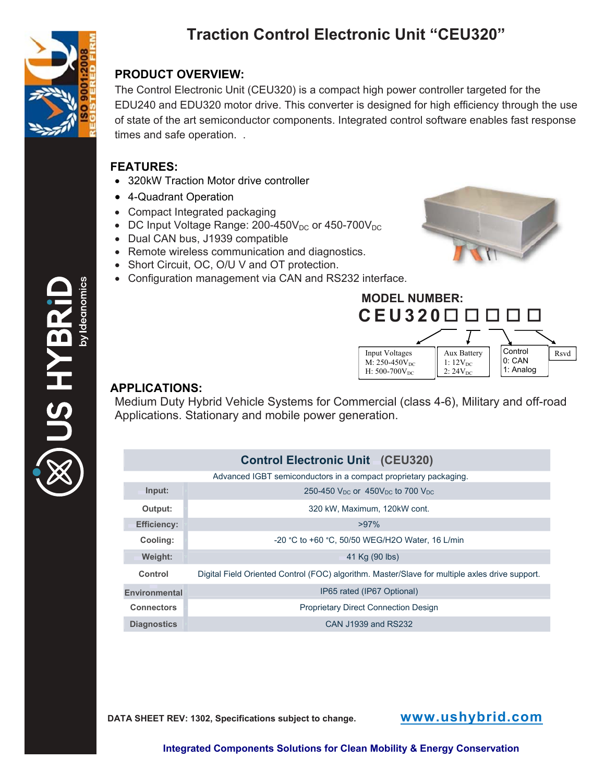

**SHYB** 

# **Traction Control Electronic Unit "CEU320"**

### **PRODUCT OVERVIEW:**

The Control Electronic Unit (CEU320) is a compact high power controller targeted for the EDU240 and EDU320 motor drive. This converter is designed for high efficiency through the use of state of the art semiconductor components. Integrated control software enables fast response times and safe operation. .

### **FEATURES:**

- 320kW Traction Motor drive controller
- 4-Quadrant Operation
- Compact Integrated packaging
- DC Input Voltage Range:  $200-450V_{DC}$  or  $450-700V_{DC}$
- Dual CAN bus, J1939 compatible
- Remote wireless communication and diagnostics.
- Short Circuit, OC, O/U V and OT protection.
- Configuration management via CAN and RS232 interface.





## **APPLICATIONS:**

Medium Duty Hybrid Vehicle Systems for Commercial (class 4-6), Military and off-road Applications. Stationary and mobile power generation.

#### **Control Electronic Unit (CEU320)**

|                      | Advanced IGBT semiconductors in a compact proprietary packaging.                               |
|----------------------|------------------------------------------------------------------------------------------------|
| Input:               | 250-450 $V_{DC}$ or 450 $V_{DC}$ to 700 $V_{DC}$                                               |
| Output:              | 320 kW, Maximum, 120kW cont.                                                                   |
| <b>Efficiency:</b>   | $>97\%$                                                                                        |
| Cooling:             | -20 °C to +60 °C, 50/50 WEG/H2O Water, 16 L/min                                                |
| Weight:              | 41 Kg (90 lbs)                                                                                 |
| Control              | Digital Field Oriented Control (FOC) algorithm. Master/Slave for multiple axles drive support. |
| <b>Environmental</b> | IP65 rated (IP67 Optional)                                                                     |
| <b>Connectors</b>    | <b>Proprietary Direct Connection Design</b>                                                    |
| <b>Diagnostics</b>   | CAN J1939 and RS232                                                                            |

**DATA SHEET REV: 1302, Specifications subject to change. www.ushybrid.com**

**Integrated Components Solutions for Clean Mobility & Energy Conservation**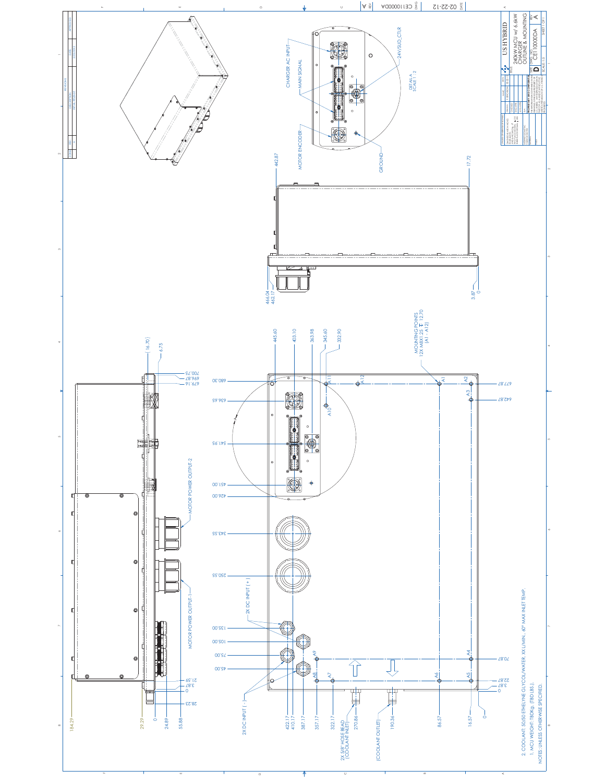